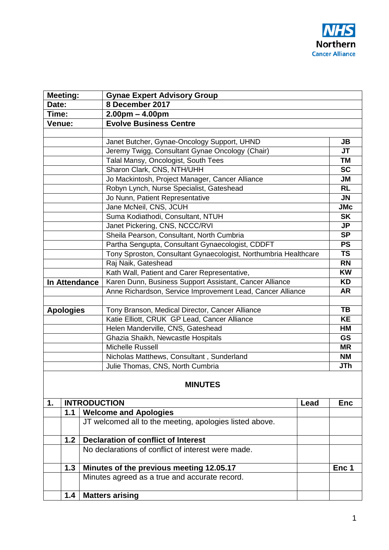|                  | <b>Meeting:</b>                                     | <b>Gynae Expert Advisory Group</b>                              |      |                          |  |  |  |
|------------------|-----------------------------------------------------|-----------------------------------------------------------------|------|--------------------------|--|--|--|
| Date:            |                                                     | 8 December 2017                                                 |      |                          |  |  |  |
| Time:            |                                                     | $2.00pm - 4.00pm$                                               |      |                          |  |  |  |
| Venue:           |                                                     | <b>Evolve Business Centre</b>                                   |      |                          |  |  |  |
|                  |                                                     |                                                                 |      |                          |  |  |  |
|                  |                                                     | Janet Butcher, Gynae-Oncology Support, UHND                     |      | <b>JB</b>                |  |  |  |
|                  |                                                     | Jeremy Twigg, Consultant Gynae Oncology (Chair)                 |      | <b>JT</b>                |  |  |  |
|                  |                                                     | Talal Mansy, Oncologist, South Tees                             |      | <b>TM</b>                |  |  |  |
|                  |                                                     | Sharon Clark, CNS, NTH/UHH                                      |      | <b>SC</b>                |  |  |  |
|                  |                                                     | Jo Mackintosh, Project Manager, Cancer Alliance                 |      | <b>JM</b>                |  |  |  |
|                  |                                                     | Robyn Lynch, Nurse Specialist, Gateshead                        |      | <b>RL</b>                |  |  |  |
|                  |                                                     | Jo Nunn, Patient Representative                                 |      | <b>JN</b>                |  |  |  |
|                  |                                                     | Jane McNeil, CNS, JCUH                                          |      | <b>JMc</b>               |  |  |  |
|                  |                                                     | Suma Kodiathodi, Consultant, NTUH                               |      | <b>SK</b>                |  |  |  |
|                  |                                                     | Janet Pickering, CNS, NCCC/RVI                                  |      | <b>JP</b>                |  |  |  |
|                  |                                                     | Sheila Pearson, Consultant, North Cumbria                       |      | $\overline{\mathsf{SP}}$ |  |  |  |
|                  |                                                     | Partha Sengupta, Consultant Gynaecologist, CDDFT                |      | <b>PS</b>                |  |  |  |
|                  |                                                     | Tony Sproston, Consultant Gynaecologist, Northumbria Healthcare |      | <b>TS</b>                |  |  |  |
|                  |                                                     | Raj Naik, Gateshead                                             |      | <b>RN</b>                |  |  |  |
|                  |                                                     | Kath Wall, Patient and Carer Representative,                    |      | <b>KW</b>                |  |  |  |
|                  | In Attendance                                       | Karen Dunn, Business Support Assistant, Cancer Alliance         |      | <b>KD</b>                |  |  |  |
|                  |                                                     | Anne Richardson, Service Improvement Lead, Cancer Alliance      |      | <b>AR</b>                |  |  |  |
|                  |                                                     |                                                                 |      |                          |  |  |  |
| <b>Apologies</b> |                                                     | Tony Branson, Medical Director, Cancer Alliance                 |      |                          |  |  |  |
|                  |                                                     | Katie Elliott, CRUK GP Lead, Cancer Alliance                    |      | <b>KE</b>                |  |  |  |
|                  |                                                     | Helen Manderville, CNS, Gateshead                               |      | HM                       |  |  |  |
|                  |                                                     | Ghazia Shaikh, Newcastle Hospitals                              |      | <b>GS</b>                |  |  |  |
|                  |                                                     | <b>Michelle Russell</b>                                         |      | <b>MR</b>                |  |  |  |
|                  |                                                     | Nicholas Matthews, Consultant, Sunderland                       |      | <b>NM</b>                |  |  |  |
|                  |                                                     | Julie Thomas, CNS, North Cumbria                                |      | JTh                      |  |  |  |
| <b>MINUTES</b>   |                                                     |                                                                 |      |                          |  |  |  |
| 1.               |                                                     | <b>INTRODUCTION</b>                                             | Lead | <b>Enc</b>               |  |  |  |
|                  | 1.1                                                 | <b>Welcome and Apologies</b>                                    |      |                          |  |  |  |
|                  |                                                     | JT welcomed all to the meeting, apologies listed above.         |      |                          |  |  |  |
|                  | <b>Declaration of conflict of Interest</b><br>$1.2$ |                                                                 |      |                          |  |  |  |
|                  | No declarations of conflict of interest were made.  |                                                                 |      |                          |  |  |  |
|                  | 1.3                                                 | Minutes of the previous meeting 12.05.17                        |      | Enc 1                    |  |  |  |
|                  |                                                     | Minutes agreed as a true and accurate record.                   |      |                          |  |  |  |
|                  | 1.4                                                 | <b>Matters arising</b>                                          |      |                          |  |  |  |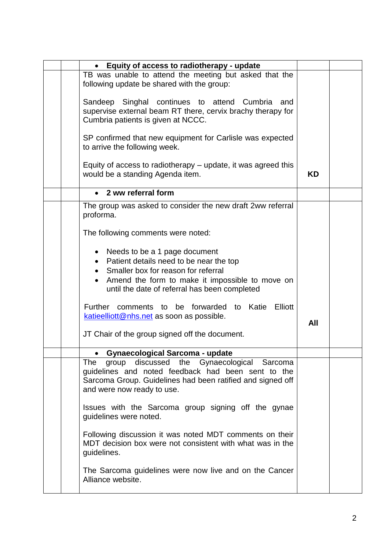|  | Equity of access to radiotherapy - update                                                                                                                                                                           |           |  |
|--|---------------------------------------------------------------------------------------------------------------------------------------------------------------------------------------------------------------------|-----------|--|
|  | TB was unable to attend the meeting but asked that the<br>following update be shared with the group:                                                                                                                |           |  |
|  | Sandeep Singhal continues to attend Cumbria<br>and<br>supervise external beam RT there, cervix brachy therapy for<br>Cumbria patients is given at NCCC.                                                             |           |  |
|  | SP confirmed that new equipment for Carlisle was expected<br>to arrive the following week.                                                                                                                          |           |  |
|  | Equity of access to radiotherapy - update, it was agreed this<br>would be a standing Agenda item.                                                                                                                   | <b>KD</b> |  |
|  | 2 ww referral form<br>$\bullet$                                                                                                                                                                                     |           |  |
|  | The group was asked to consider the new draft 2ww referral<br>proforma.                                                                                                                                             |           |  |
|  | The following comments were noted:                                                                                                                                                                                  |           |  |
|  | Needs to be a 1 page document<br>Patient details need to be near the top<br>Smaller box for reason for referral<br>Amend the form to make it impossible to move on<br>until the date of referral has been completed |           |  |
|  | Further comments to be forwarded<br><b>Elliott</b><br>to Katie<br>katieelliott@nhs.net as soon as possible.                                                                                                         | All       |  |
|  | JT Chair of the group signed off the document.                                                                                                                                                                      |           |  |
|  | <b>Gynaecological Sarcoma - update</b>                                                                                                                                                                              |           |  |
|  | the<br>Gynaecological Sarcoma<br>discussed<br>The<br>group<br>guidelines and noted feedback had been sent to the<br>Sarcoma Group. Guidelines had been ratified and signed off<br>and were now ready to use.        |           |  |
|  | Issues with the Sarcoma group signing off the gynae<br>guidelines were noted.                                                                                                                                       |           |  |
|  | Following discussion it was noted MDT comments on their<br>MDT decision box were not consistent with what was in the<br>guidelines.                                                                                 |           |  |
|  | The Sarcoma guidelines were now live and on the Cancer<br>Alliance website.                                                                                                                                         |           |  |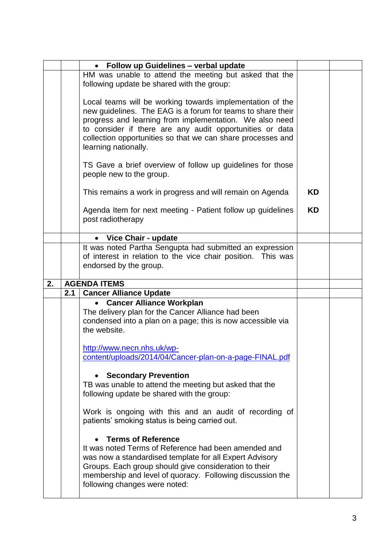|    |     | Follow up Guidelines - verbal update                                                                                                                                                                                                                                                                                                   |    |  |
|----|-----|----------------------------------------------------------------------------------------------------------------------------------------------------------------------------------------------------------------------------------------------------------------------------------------------------------------------------------------|----|--|
|    |     | HM was unable to attend the meeting but asked that the<br>following update be shared with the group:                                                                                                                                                                                                                                   |    |  |
|    |     | Local teams will be working towards implementation of the<br>new guidelines. The EAG is a forum for teams to share their<br>progress and learning from implementation. We also need<br>to consider if there are any audit opportunities or data<br>collection opportunities so that we can share processes and<br>learning nationally. |    |  |
|    |     | TS Gave a brief overview of follow up guidelines for those<br>people new to the group.                                                                                                                                                                                                                                                 |    |  |
|    |     | This remains a work in progress and will remain on Agenda                                                                                                                                                                                                                                                                              | ΚD |  |
|    |     | Agenda Item for next meeting - Patient follow up guidelines<br>post radiotherapy                                                                                                                                                                                                                                                       | KD |  |
|    |     | Vice Chair - update<br>$\bullet$                                                                                                                                                                                                                                                                                                       |    |  |
|    |     | It was noted Partha Sengupta had submitted an expression<br>of interest in relation to the vice chair position. This was<br>endorsed by the group.                                                                                                                                                                                     |    |  |
|    |     |                                                                                                                                                                                                                                                                                                                                        |    |  |
| 2. |     | <b>AGENDA ITEMS</b>                                                                                                                                                                                                                                                                                                                    |    |  |
|    | 2.1 | <b>Cancer Alliance Update</b>                                                                                                                                                                                                                                                                                                          |    |  |
|    |     | <b>Cancer Alliance Workplan</b><br>The delivery plan for the Cancer Alliance had been<br>condensed into a plan on a page; this is now accessible via<br>the website.                                                                                                                                                                   |    |  |
|    |     | http://www.necn.nhs.uk/wp-<br>content/uploads/2014/04/Cancer-plan-on-a-page-FINAL.pdf                                                                                                                                                                                                                                                  |    |  |
|    |     | <b>Secondary Prevention</b><br>TB was unable to attend the meeting but asked that the<br>following update be shared with the group:                                                                                                                                                                                                    |    |  |
|    |     | Work is ongoing with this and an audit of recording of<br>patients' smoking status is being carried out.                                                                                                                                                                                                                               |    |  |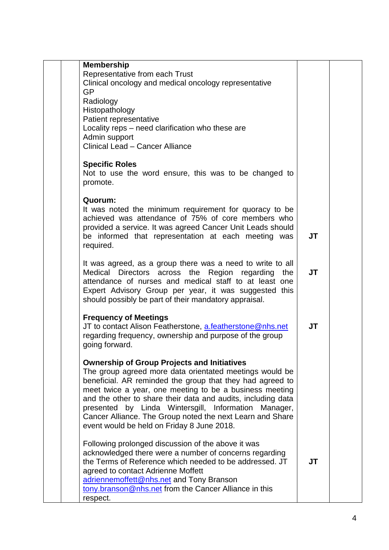| <b>Membership</b>                                                                                                    |           |  |
|----------------------------------------------------------------------------------------------------------------------|-----------|--|
| Representative from each Trust                                                                                       |           |  |
| Clinical oncology and medical oncology representative                                                                |           |  |
| GP                                                                                                                   |           |  |
| Radiology                                                                                                            |           |  |
| Histopathology                                                                                                       |           |  |
| Patient representative                                                                                               |           |  |
| Locality reps - need clarification who these are                                                                     |           |  |
| Admin support                                                                                                        |           |  |
| <b>Clinical Lead - Cancer Alliance</b>                                                                               |           |  |
|                                                                                                                      |           |  |
| <b>Specific Roles</b>                                                                                                |           |  |
| Not to use the word ensure, this was to be changed to                                                                |           |  |
| promote.                                                                                                             |           |  |
| Quorum:                                                                                                              |           |  |
| It was noted the minimum requirement for quoracy to be                                                               |           |  |
| achieved was attendance of 75% of core members who                                                                   |           |  |
| provided a service. It was agreed Cancer Unit Leads should                                                           |           |  |
| be informed that representation at each meeting was                                                                  | <b>JT</b> |  |
| required.                                                                                                            |           |  |
|                                                                                                                      |           |  |
| It was agreed, as a group there was a need to write to all                                                           |           |  |
| Medical Directors across the<br>Region regarding the                                                                 | <b>JT</b> |  |
| attendance of nurses and medical staff to at least one                                                               |           |  |
| Expert Advisory Group per year, it was suggested this                                                                |           |  |
| should possibly be part of their mandatory appraisal.                                                                |           |  |
| <b>Frequency of Meetings</b>                                                                                         |           |  |
| JT to contact Alison Featherstone, a.featherstone@nhs.net                                                            | <b>JT</b> |  |
| regarding frequency, ownership and purpose of the group                                                              |           |  |
| going forward.                                                                                                       |           |  |
|                                                                                                                      |           |  |
| <b>Ownership of Group Projects and Initiatives</b>                                                                   |           |  |
| The group agreed more data orientated meetings would be                                                              |           |  |
| beneficial. AR reminded the group that they had agreed to                                                            |           |  |
| meet twice a year, one meeting to be a business meeting                                                              |           |  |
| and the other to share their data and audits, including data                                                         |           |  |
| presented by Linda Wintersgill, Information<br>Manager,<br>Cancer Alliance. The Group noted the next Learn and Share |           |  |
| event would be held on Friday 8 June 2018.                                                                           |           |  |
|                                                                                                                      |           |  |
| Following prolonged discussion of the above it was                                                                   |           |  |
| acknowledged there were a number of concerns regarding                                                               |           |  |
| the Terms of Reference which needed to be addressed. JT                                                              | <b>JT</b> |  |
| agreed to contact Adrienne Moffett                                                                                   |           |  |
| adriennemoffett@nhs.net and Tony Branson                                                                             |           |  |
| tony.branson@nhs.net from the Cancer Alliance in this                                                                |           |  |
| respect.                                                                                                             |           |  |